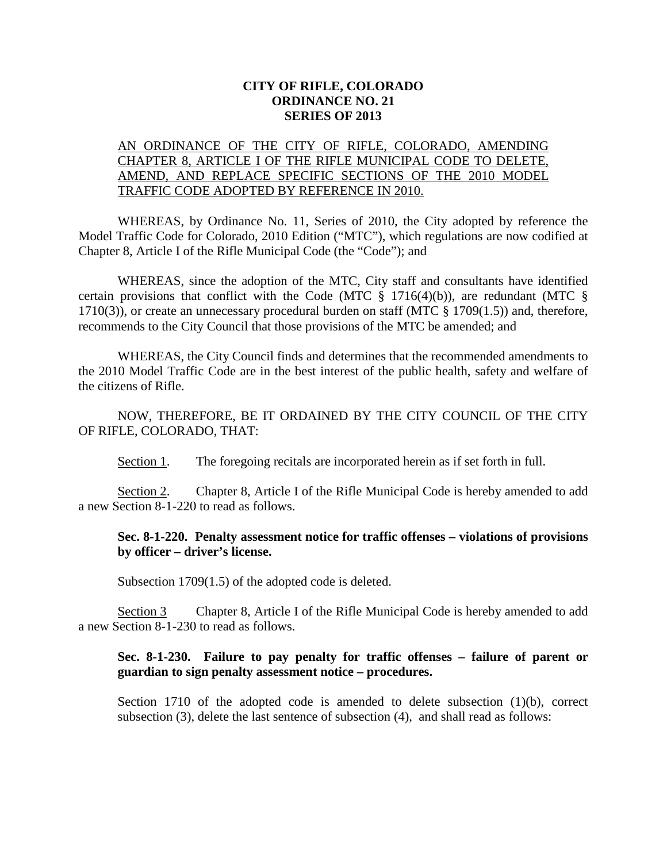## **CITY OF RIFLE, COLORADO ORDINANCE NO. 21 SERIES OF 2013**

# AN ORDINANCE OF THE CITY OF RIFLE, COLORADO, AMENDING CHAPTER 8, ARTICLE I OF THE RIFLE MUNICIPAL CODE TO DELETE, AMEND, AND REPLACE SPECIFIC SECTIONS OF THE 2010 MODEL TRAFFIC CODE ADOPTED BY REFERENCE IN 2010.

WHEREAS, by Ordinance No. 11, Series of 2010, the City adopted by reference the Model Traffic Code for Colorado, 2010 Edition ("MTC"), which regulations are now codified at Chapter 8, Article I of the Rifle Municipal Code (the "Code"); and

WHEREAS, since the adoption of the MTC, City staff and consultants have identified certain provisions that conflict with the Code (MTC  $\S$  1716(4)(b)), are redundant (MTC  $\S$ 1710(3)), or create an unnecessary procedural burden on staff (MTC  $\S$  1709(1.5)) and, therefore, recommends to the City Council that those provisions of the MTC be amended; and

WHEREAS, the City Council finds and determines that the recommended amendments to the 2010 Model Traffic Code are in the best interest of the public health, safety and welfare of the citizens of Rifle.

NOW, THEREFORE, BE IT ORDAINED BY THE CITY COUNCIL OF THE CITY OF RIFLE, COLORADO, THAT:

Section 1. The foregoing recitals are incorporated herein as if set forth in full.

Section 2. Chapter 8, Article I of the Rifle Municipal Code is hereby amended to add a new Section 8-1-220 to read as follows.

#### **Sec. 8-1-220. Penalty assessment notice for traffic offenses – violations of provisions by officer – driver's license.**

Subsection 1709(1.5) of the adopted code is deleted.

Section 3 Chapter 8, Article I of the Rifle Municipal Code is hereby amended to add a new Section 8-1-230 to read as follows.

# **Sec. 8-1-230. Failure to pay penalty for traffic offenses – failure of parent or guardian to sign penalty assessment notice – procedures.**

Section 1710 of the adopted code is amended to delete subsection (1)(b), correct subsection (3), delete the last sentence of subsection (4), and shall read as follows: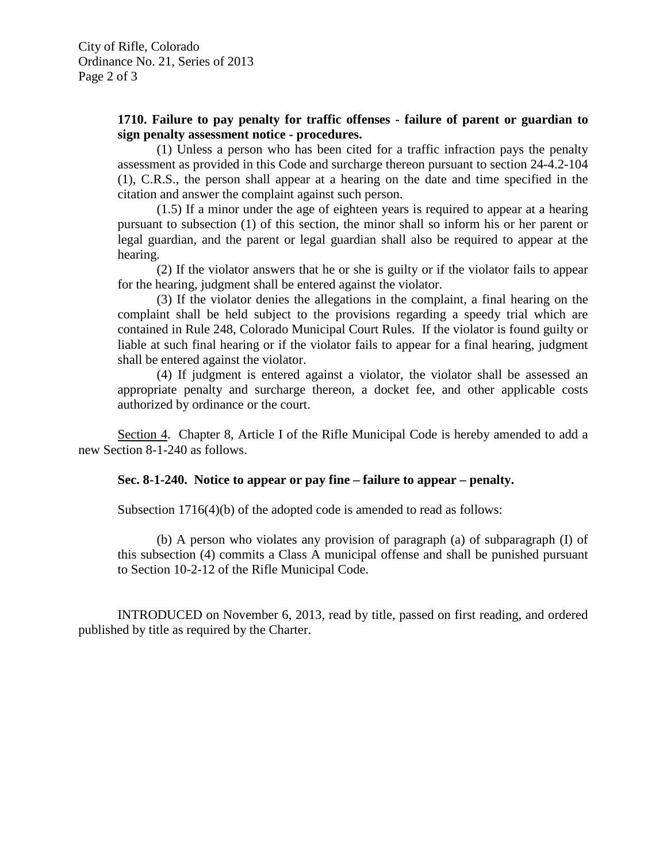#### **1710. Failure to pay penalty for traffic offenses - failure of parent or guardian to sign penalty assessment notice - procedures.**

(1) Unless a person who has been cited for a traffic infraction pays the penalty assessment as provided in this Code and surcharge thereon pursuant to section 24-4.2-104 (1), C.R.S., the person shall appear at a hearing on the date and time specified in the citation and answer the complaint against such person.

(1.5) If a minor under the age of eighteen years is required to appear at a hearing pursuant to subsection (1) of this section, the minor shall so inform his or her parent or legal guardian, and the parent or legal guardian shall also be required to appear at the hearing.

(2) If the violator answers that he or she is guilty or if the violator fails to appear for the hearing, judgment shall be entered against the violator.

(3) If the violator denies the allegations in the complaint, a final hearing on the complaint shall be held subject to the provisions regarding a speedy trial which are contained in Rule 248, Colorado Municipal Court Rules. If the violator is found guilty or liable at such final hearing or if the violator fails to appear for a final hearing, judgment shall be entered against the violator.

(4) If judgment is entered against a violator, the violator shall be assessed an appropriate penalty and surcharge thereon, a docket fee, and other applicable costs authorized by ordinance or the court.

Section 4. Chapter 8, Article I of the Rifle Municipal Code is hereby amended to add a new Section 8-1-240 as follows.

# **Sec. 8-1-240. Notice to appear or pay fine – failure to appear – penalty.**

Subsection 1716(4)(b) of the adopted code is amended to read as follows:

(b) A person who violates any provision of paragraph (a) of subparagraph (I) of this subsection (4) commits a Class A municipal offense and shall be punished pursuant to Section 10-2-12 of the Rifle Municipal Code.

INTRODUCED on November 6, 2013, read by title, passed on first reading, and ordered published by title as required by the Charter.